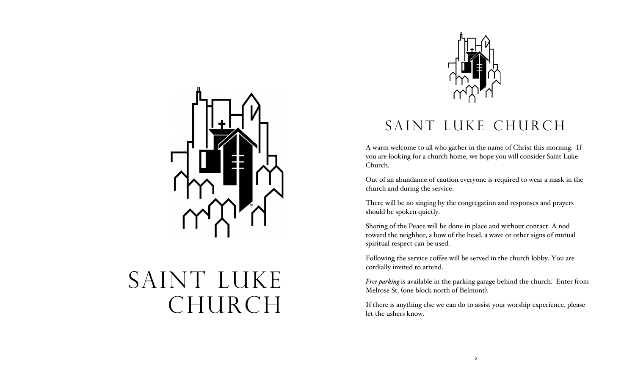

# SAINT LUKE CHURCH



# SAINT LUKE CHURCH

A warm welcome to all who gather in the name of Christ this morning. If you are looking for a church home, we hope you will consider Saint Luke Church.

Out of an abundance of caution everyone is required to wear a mask in the church and during the service.

There will be no singing by the congregation and responses and prayers should be spoken quietly.

Sharing of the Peace will be done in place and without contact. A nod toward the neighbor, a bow of the head, a wave or other signs of mutual spiritual respect can be used.

Following the service coffee will be served in the church lobby. You are cordially invited to attend.

*Free parking* is available in the parking garage behind the church. Enter from Melrose St. (one block north of Belmont).

If there is anything else we can do to assist your worship experience, please let the ushers know.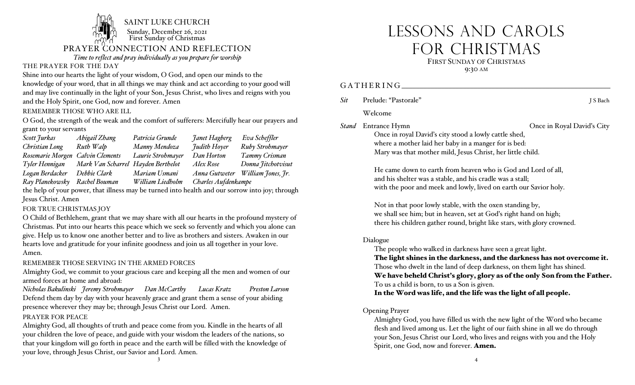

*Time to reflect and pray individually as you prepare for worship*

### THE PRAYER FOR THE DAY

Shine into our hearts the light of your wisdom, O God, and open our minds to the knowledge of your word, that in all things we may think and act according to your good will and may live continually in the light of your Son, Jesus Christ, who lives and reigns with you and the Holy Spirit, one God, now and forever. Amen

REMEMBER THOSE WHO ARE ILL

O God, the strength of the weak and the comfort of sufferers: Mercifully hear our prayers and grant to your servants

| Scott Jurkas                     | Abigail Zhang                      | Patricia Grunde   | Janet Hagberg       | Eva Scheffler      |
|----------------------------------|------------------------------------|-------------------|---------------------|--------------------|
| Christian Long                   | Ruth Walp                          | Manny Mendoza     | Judith Hoyer        | Ruby Strohmayer    |
| Rosemarie Morgen Calvin Clements |                                    | Laurie Strohmayer | Dan Horton          | Tammy Crisman      |
| Tyler Hennigan                   | Mark Van Scharrel Hayden Berthelot |                   | Alex Rose           | Donna Jitchotvisut |
| Logan Berdacker                  | Debbie Clark                       | Mariam Usmani     | Anna Gutweter       | William Jones, Jr. |
| Ray Planekowsky                  | Rachel Bouman                      | William Liedholm  | Charles Aufdenkampe |                    |

the help of your power, that illness may be turned into health and our sorrow into joy; through Jesus Christ. Amen

### FOR TRUE CHRISTMAS JOY

O Child of Bethlehem, grant that we may share with all our hearts in the profound mystery of Christmas. Put into our hearts this peace which we seek so fervently and which you alone can give. Help us to know one another better and to live as brothers and sisters. Awaken in our hearts love and gratitude for your infinite goodness and join us all together in your love. Amen.

REMEMBER THOSE SERVING IN THE ARMED FORCES

Almighty God, we commit to your gracious care and keeping all the men and women of our armed forces at home and abroad:

*Nicholas Bakulinski Jeremy Strohmayer Dan McCarthy Lucas Kratz Preston Larson* Defend them day by day with your heavenly grace and grant them a sense of your abiding presence wherever they may be; through Jesus Christ our Lord. Amen.

### PRAYER FOR PEACE

Almighty God, all thoughts of truth and peace come from you. Kindle in the hearts of all your children the love of peace, and guide with your wisdom the leaders of the nations, so that your kingdom will go forth in peace and the earth will be filled with the knowledge of your love, through Jesus Christ, our Savior and Lord. Amen.

# LESSONS AND CAROLS FOR CHRISTMAS FIRST SUNDAY OF CHRISTMAS 9:30 AM

### GATHERING **EXAMPLE EXAMPLE EXAMPLE EXAMPLE EXAMPLE EXAMPLE EXAMPLE EXAMPLE EXAMPLE EXAMPLE EXAMPLE EXAMPLE EXAMPLE EXAMPLE EXAMPLE EXAMPLE EXAMPLE EXAMPLE EXAMPLE EXAMPLE EXAMPLE EXAMPLE EXAMPLE EXAMPLE EXAMPLE EXAMPLE EXA**

| Sit | Prelude: "Pastorale" | J S Bach |
|-----|----------------------|----------|
|     |                      |          |

Welcome

*Stand* Entrance Hymn Once in Royal David's City

Once in royal David's city stood a lowly cattle shed, where a mother laid her baby in a manger for is bed: Mary was that mother mild, Jesus Christ, her little child.

He came down to earth from heaven who is God and Lord of all, and his shelter was a stable, and his cradle was a stall; with the poor and meek and lowly, lived on earth our Savior holy.

Not in that poor lowly stable, with the oxen standing by, we shall see him; but in heaven, set at God's right hand on high; there his children gather round, bright like stars, with glory crowned.

### Dialogue

The people who walked in darkness have seen a great light.

The light shines in the darkness, and the darkness has not overcome it. Those who dwelt in the land of deep darkness, on them light has shined.

We have beheld Christ's glory, glory as of the only Son from the Father. To us a child is born, to us a Son is given.

In the Word was life, and the life was the light of all people.

### Opening Prayer

Almighty God, you have filled us with the new light of the Word who became flesh and lived among us. Let the light of our faith shine in all we do through your Son, Jesus Christ our Lord, who lives and reigns with you and the Holy Spirit, one God, now and forever. Amen.

3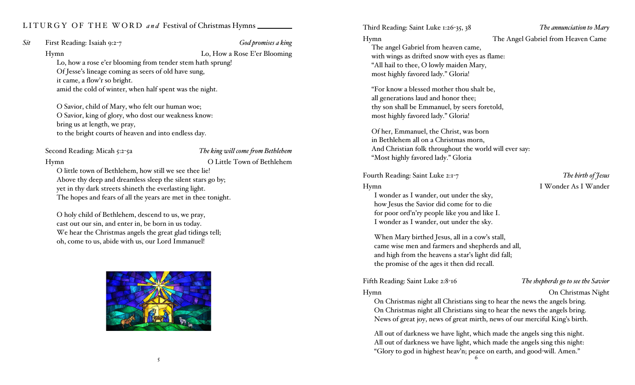### LITURGY OF THE WORD *and* Festival of Christmas Hymns

*Sit* First Reading: Isaiah 9:2-7 *God promises a king*

Hymn Lo, How a Rose E'er Blooming Lo, how a rose e'er blooming from tender stem hath sprung! Of Jesse's lineage coming as seers of old have sung, it came, a flow'r so bright. amid the cold of winter, when half spent was the night.

O Savior, child of Mary, who felt our human woe; O Savior, king of glory, who dost our weakness know: bring us at length, we pray, to the bright courts of heaven and into endless day.

Second Reading: Micah 5:2-5a *The king will come from Bethlehem*

### Hymn O Little Town of Bethlehem

O little town of Bethlehem, how still we see thee lie! Above thy deep and dreamless sleep the silent stars go by; yet in thy dark streets shineth the everlasting light. The hopes and fears of all the years are met in thee tonight.

O holy child of Bethlehem, descend to us, we pray, cast out our sin, and enter in, be born in us today. We hear the Christmas angels the great glad tidings tell; oh, come to us, abide with us, our Lord Immanuel!



Third Reading: Saint Luke 1:26-35, 38 *The annunciation to Mary*

Hymn The Angel Gabriel from Heaven Came

The angel Gabriel from heaven came, with wings as drifted snow with eyes as flame: "All hail to thee, O lowly maiden Mary, most highly favored lady." Gloria!

"For know a blessed mother thou shalt be, all generations laud and honor thee; thy son shall be Emmanuel, by seers foretold, most highly favored lady." Gloria!

Of her, Emmanuel, the Christ, was born in Bethlehem all on a Christmas morn, And Christian folk throughout the world will ever say: "Most highly favored lady." Gloria

Fourth Reading: Saint Luke 2:1-7 *The birth of Jesus*

Hymn I Wonder As I Wander

I wonder as I wander, out under the sky, how Jesus the Savior did come for to die for poor ord'n'ry people like you and like I. I wonder as I wander, out under the sky.

When Mary birthed Jesus, all in a cow's stall, came wise men and farmers and shepherds and all, and high from the heavens a star's light did fall; the promise of the ages it then did recall.

### Fifth Reading: Saint Luke 2:8-16 *The shepherds go to see the Savior*

Hymn On Christmas Night

On Christmas night all Christians sing to hear the news the angels bring. On Christmas night all Christians sing to hear the news the angels bring. News of great joy, news of great mirth, news of our merciful King's birth.

All out of darkness we have light, which made the angels sing this night. All out of darkness we have light, which made the angels sing this night: "Glory to god in highest heav'n; peace on earth, and good-will. Amen."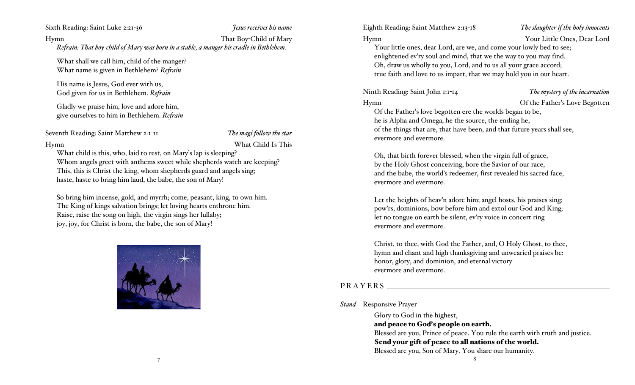Sixth Reading: Saint Luke 2:21-36 *Jesus receives his name*

Hymn That Boy-Child of Mary *Refrain: That boy-child of Mary was born in a stable, a manger his cradle in Bethlehem.*

What shall we call him, child of the manger? What name is given in Bethlehem? *Refrain*

His name is Jesus, God ever with us, God given for us in Bethlehem. *Refrain*

Gladly we praise him, love and adore him, give ourselves to him in Bethlehem. *Refrain*

Seventh Reading: Saint Matthew 2:1-11 *The magi follow the star*

Hymn What Child Is This

What child is this, who, laid to rest, on Mary's lap is sleeping? Whom angels greet with anthems sweet while shepherds watch are keeping? This, this is Christ the king, whom shepherds guard and angels sing; haste, haste to bring him laud, the babe, the son of Mary!

So bring him incense, gold, and myrrh; come, peasant, king, to own him. The King of kings salvation brings; let loving hearts enthrone him. Raise, raise the song on high, the virgin sings her lullaby; joy, joy, for Christ is born, the babe, the son of Mary!



7

Eighth Reading: Saint Matthew 2:13-18 *The slaughter if the holy innocents* Hymn Your Little Ones, Dear Lord Your little ones, dear Lord, are we, and come your lowly bed to see; enlightened ev'ry soul and mind, that we the way to you may find. Oh, draw us wholly to you, Lord, and to us all your grace accord; true faith and love to us impart, that we may hold you in our heart.

Ninth Reading: Saint John 1:1-14 *The mystery of the incarnation*

Hymn Of the Father's Love Begotten

Of the Father's love begotten ere the worlds began to be, he is Alpha and Omega, he the source, the ending he, of the things that are, that have been, and that future years shall see, evermore and evermore.

Oh, that birth forever blessed, when the virgin full of grace, by the Holy Ghost conceiving, bore the Savior of our race, and the babe, the world's redeemer, first revealed his sacred face, evermore and evermore.

Let the heights of heav'n adore him; angel hosts, his praises sing; pow'rs, dominions, bow before him and extol our God and King; let no tongue on earth be silent, ev'ry voice in concert ring evermore and evermore.

Christ, to thee, with God the Father, and, O Holy Ghost, to thee, hymn and chant and high thanksgiving and unwearied praises be: honor, glory, and dominion, and eternal victory evermore and evermore.

### PRAYERS NORTH SERVICES

### *Stand* Responsive Prayer

Glory to God in the highest, and peace to God's people on earth. Blessed are you, Prince of peace. You rule the earth with truth and justice. Send your gift of peace to all nations of the world. Blessed are you, Son of Mary. You share our humanity.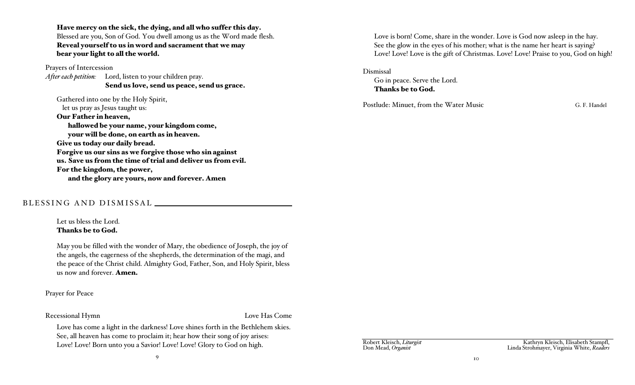Have mercy on the sick, the dying, and all who suffer this day. Blessed are you, Son of God. You dwell among us as the Word made flesh. Reveal yourself to us in word and sacrament that we may bear your light to all the world.

Prayers of Intercession

*After each petition:* Lord, listen to your children pray. Send us love, send us peace, send us grace.

Gathered into one by the Holy Spirit, let us pray as Jesus taught us: Our Father in heaven, hallowed be your name, your kingdom come, your will be done, on earth as in heaven. Give us today our daily bread. Forgive us our sins as we forgive those who sin against us. Save us from the time of trial and deliver us from evil. For the kingdom, the power, and the glory are yours, now and forever. Amen

### BLESSING AND DISMISSAL

Let us bless the Lord. Thanks be to God.

May you be filled with the wonder of Mary, the obedience of Joseph, the joy of the angels, the eagerness of the shepherds, the determination of the magi, and the peace of the Christ child. Almighty God, Father, Son, and Holy Spirit, bless us now and forever. Amen.

Prayer for Peace

### Recessional Hymn Love Has Come

Love has come a light in the darkness! Love shines forth in the Bethlehem skies. See, all heaven has come to proclaim it; hear how their song of joy arises: Love! Love! Born unto you a Savior! Love! Love! Glory to God on high.

9

Love is born! Come, share in the wonder. Love is God now asleep in the hay. See the glow in the eyes of his mother; what is the name her heart is saying? Love! Love! Love is the gift of Christmas. Love! Love! Praise to you, God on high!

### Dismissal

Go in peace. Serve the Lord. Thanks be to God.

Postlude: Minuet, from the Water Music G. F. Handel